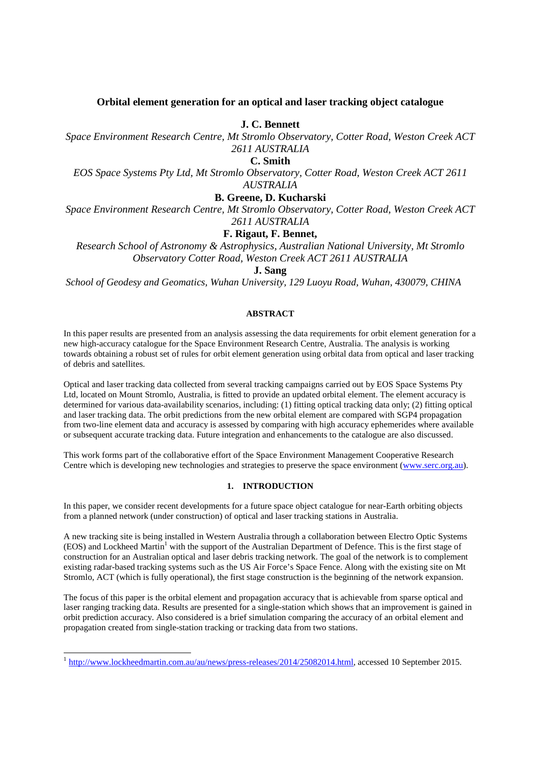# **Orbital element generation for an optical and laser tracking object catalogue**

**J. C. Bennett** 

*Space Environment Research Centre, Mt Stromlo Observatory, Cotter Road, Weston Creek ACT 2611 AUSTRALIA* 

**C. Smith**

*EOS Space Systems Pty Ltd, Mt Stromlo Observatory, Cotter Road, Weston Creek ACT 2611 AUSTRALIA* 

# **B. Greene, D. Kucharski**

*Space Environment Research Centre, Mt Stromlo Observatory, Cotter Road, Weston Creek ACT 2611 AUSTRALIA* 

# **F. Rigaut, F. Bennet,**

*Research School of Astronomy & Astrophysics, Australian National University, Mt Stromlo Observatory Cotter Road, Weston Creek ACT 2611 AUSTRALIA* 

# **J. Sang**

*School of Geodesy and Geomatics, Wuhan University, 129 Luoyu Road, Wuhan, 430079, CHINA*

# **ABSTRACT**

In this paper results are presented from an analysis assessing the data requirements for orbit element generation for a new high-accuracy catalogue for the Space Environment Research Centre, Australia. The analysis is working towards obtaining a robust set of rules for orbit element generation using orbital data from optical and laser tracking of debris and satellites.

Optical and laser tracking data collected from several tracking campaigns carried out by EOS Space Systems Pty Ltd, located on Mount Stromlo, Australia, is fitted to provide an updated orbital element. The element accuracy is determined for various data-availability scenarios, including: (1) fitting optical tracking data only; (2) fitting optical and laser tracking data. The orbit predictions from the new orbital element are compared with SGP4 propagation from two-line element data and accuracy is assessed by comparing with high accuracy ephemerides where available or subsequent accurate tracking data. Future integration and enhancements to the catalogue are also discussed.

This work forms part of the collaborative effort of the Space Environment Management Cooperative Research Centre which is developing new technologies and strategies to preserve the space environment (www.serc.org.au).

## **1. INTRODUCTION**

In this paper, we consider recent developments for a future space object catalogue for near-Earth orbiting objects from a planned network (under construction) of optical and laser tracking stations in Australia.

A new tracking site is being installed in Western Australia through a collaboration between Electro Optic Systems (EOS) and Lockheed Martin<sup>1</sup> with the support of the Australian Department of Defence. This is the first stage of construction for an Australian optical and laser debris tracking network. The goal of the network is to complement existing radar-based tracking systems such as the US Air Force's Space Fence. Along with the existing site on Mt Stromlo, ACT (which is fully operational), the first stage construction is the beginning of the network expansion.

The focus of this paper is the orbital element and propagation accuracy that is achievable from sparse optical and laser ranging tracking data. Results are presented for a single-station which shows that an improvement is gained in orbit prediction accuracy. Also considered is a brief simulation comparing the accuracy of an orbital element and propagation created from single-station tracking or tracking data from two stations.

1

<sup>&</sup>lt;sup>1</sup> http://www.lockheedmartin.com.au/au/news/press-releases/2014/25082014.html, accessed 10 September 2015.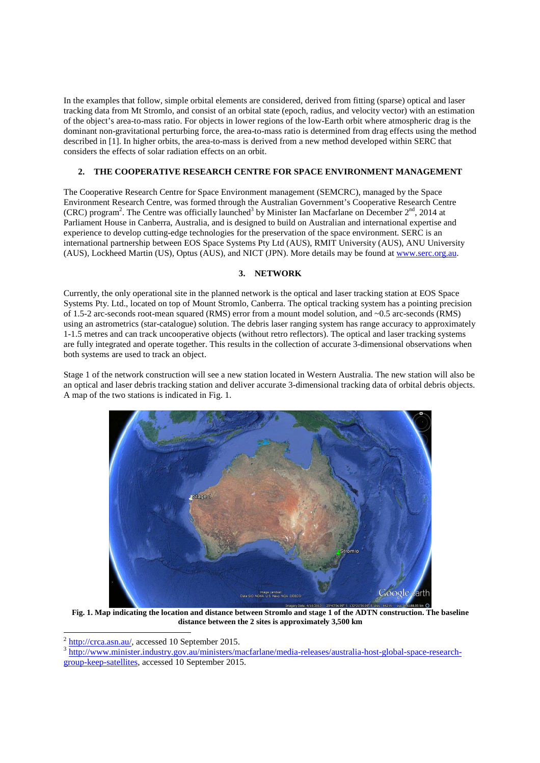In the examples that follow, simple orbital elements are considered, derived from fitting (sparse) optical and laser tracking data from Mt Stromlo, and consist of an orbital state (epoch, radius, and velocity vector) with an estimation of the object's area-to-mass ratio. For objects in lower regions of the low-Earth orbit where atmospheric drag is the dominant non-gravitational perturbing force, the area-to-mass ratio is determined from drag effects using the method described in [1]. In higher orbits, the area-to-mass is derived from a new method developed within SERC that considers the effects of solar radiation effects on an orbit.

# **2. THE COOPERATIVE RESEARCH CENTRE FOR SPACE ENVIRONMENT MANAGEMENT**

The Cooperative Research Centre for Space Environment management (SEMCRC), managed by the Space Environment Research Centre, was formed through the Australian Government's Cooperative Research Centre (CRC) program<sup>2</sup>. The Centre was officially launched<sup>3</sup> by Minister Ian Macfarlane on December  $2^{nd}$ , 2014 at Parliament House in Canberra, Australia, and is designed to build on Australian and international expertise and experience to develop cutting-edge technologies for the preservation of the space environment. SERC is an international partnership between EOS Space Systems Pty Ltd (AUS), RMIT University (AUS), ANU University (AUS), Lockheed Martin (US), Optus (AUS), and NICT (JPN). More details may be found at www.serc.org.au.

# **3. NETWORK**

Currently, the only operational site in the planned network is the optical and laser tracking station at EOS Space Systems Pty. Ltd., located on top of Mount Stromlo, Canberra. The optical tracking system has a pointing precision of 1.5-2 arc-seconds root-mean squared (RMS) error from a mount model solution, and ~0.5 arc-seconds (RMS) using an astrometrics (star-catalogue) solution. The debris laser ranging system has range accuracy to approximately 1-1.5 metres and can track uncooperative objects (without retro reflectors). The optical and laser tracking systems are fully integrated and operate together. This results in the collection of accurate 3-dimensional observations when both systems are used to track an object.

Stage 1 of the network construction will see a new station located in Western Australia. The new station will also be an optical and laser debris tracking station and deliver accurate 3-dimensional tracking data of orbital debris objects. A map of the two stations is indicated in Fig. 1.



**Fig. 1. Map indicating the location and distance between Stromlo and stage 1 of the ADTN construction. The baseline distance between the 2 sites is approximately 3,500 km** 

2<br><sup>2</sup> http://crca.asn.au/, accessed 10 September 2015.

<sup>3</sup> http://www.minister.industry.gov.au/ministers/macfarlane/media-releases/australia-host-global-space-researchgroup-keep-satellites, accessed 10 September 2015.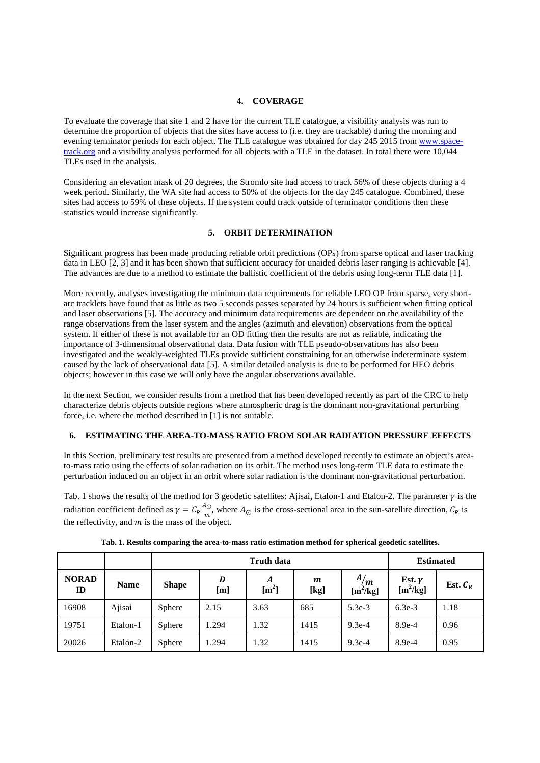#### **4. COVERAGE**

To evaluate the coverage that site 1 and 2 have for the current TLE catalogue, a visibility analysis was run to determine the proportion of objects that the sites have access to (i.e. they are trackable) during the morning and evening terminator periods for each object. The TLE catalogue was obtained for day 245 2015 from www.spacetrack.org and a visibility analysis performed for all objects with a TLE in the dataset. In total there were 10,044 TLEs used in the analysis.

Considering an elevation mask of 20 degrees, the Stromlo site had access to track 56% of these objects during a 4 week period. Similarly, the WA site had access to 50% of the objects for the day 245 catalogue. Combined, these sites had access to 59% of these objects. If the system could track outside of terminator conditions then these statistics would increase significantly.

# **5. ORBIT DETERMINATION**

Significant progress has been made producing reliable orbit predictions (OPs) from sparse optical and laser tracking data in LEO [2, 3] and it has been shown that sufficient accuracy for unaided debris laser ranging is achievable [4]. The advances are due to a method to estimate the ballistic coefficient of the debris using long-term TLE data [1].

More recently, analyses investigating the minimum data requirements for reliable LEO OP from sparse, very shortarc tracklets have found that as little as two 5 seconds passes separated by 24 hours is sufficient when fitting optical and laser observations [5]. The accuracy and minimum data requirements are dependent on the availability of the range observations from the laser system and the angles (azimuth and elevation) observations from the optical system. If either of these is not available for an OD fitting then the results are not as reliable, indicating the importance of 3-dimensional observational data. Data fusion with TLE pseudo-observations has also been investigated and the weakly-weighted TLEs provide sufficient constraining for an otherwise indeterminate system caused by the lack of observational data [5]. A similar detailed analysis is due to be performed for HEO debris objects; however in this case we will only have the angular observations available.

In the next Section, we consider results from a method that has been developed recently as part of the CRC to help characterize debris objects outside regions where atmospheric drag is the dominant non-gravitational perturbing force, i.e. where the method described in [1] is not suitable.

### **6. ESTIMATING THE AREA-TO-MASS RATIO FROM SOLAR RADIATION PRESSURE EFFECTS**

In this Section, preliminary test results are presented from a method developed recently to estimate an object's areato-mass ratio using the effects of solar radiation on its orbit. The method uses long-term TLE data to estimate the perturbation induced on an object in an orbit where solar radiation is the dominant non-gravitational perturbation.

Tab. 1 shows the results of the method for 3 geodetic satellites: Ajisai, Etalon-1 and Etalon-2. The parameter  $\gamma$  is the radiation coefficient defined as  $\gamma = C_R \frac{A_{\odot}}{m}$  $\frac{N_O}{m}$ , where  $A_O$  is the cross-sectional area in the sun-satellite direction,  $C_R$  is the reflectivity, and  $m$  is the mass of the object.

|                    |             |              |          | <b>Estimated</b>      |           |                             |                             |            |
|--------------------|-------------|--------------|----------|-----------------------|-----------|-----------------------------|-----------------------------|------------|
| <b>NORAD</b><br>ID | <b>Name</b> | <b>Shape</b> | D<br>[m] | A<br>$\mathrm{[m^2]}$ | m<br>[kg] | A/m<br>[m <sup>2</sup> /kg] | Est. $\gamma$<br>$[m^2/kg]$ | Est. $C_R$ |
| 16908              | Ajisai      | Sphere       | 2.15     | 3.63                  | 685       | $5.3e-3$                    | $6.3e-3$                    | 1.18       |
| 19751              | Etalon-1    | Sphere       | .294     | 1.32                  | 1415      | $9.3e-4$                    | $8.9e-4$                    | 0.96       |
| 20026              | Etalon-2    | Sphere       | .294     | 1.32                  | 1415      | $9.3e-4$                    | $8.9e-4$                    | 0.95       |

| Tab. 1. Results comparing the area-to-mass ratio estimation method for spherical geodetic satellites. |
|-------------------------------------------------------------------------------------------------------|
|-------------------------------------------------------------------------------------------------------|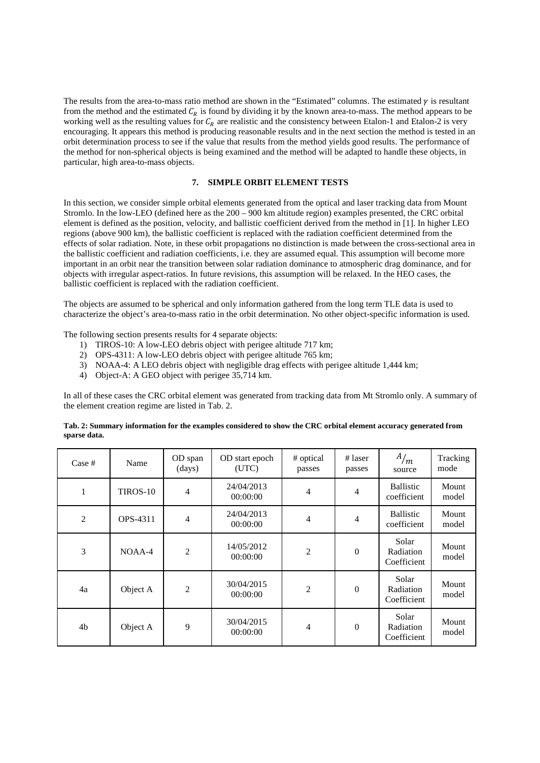The results from the area-to-mass ratio method are shown in the "Estimated" columns. The estimated  $\gamma$  is resultant from the method and the estimated  $C_R$  is found by dividing it by the known area-to-mass. The method appears to be working well as the resulting values for  $C_R$  are realistic and the consistency between Etalon-1 and Etalon-2 is very encouraging. It appears this method is producing reasonable results and in the next section the method is tested in an orbit determination process to see if the value that results from the method yields good results. The performance of the method for non-spherical objects is being examined and the method will be adapted to handle these objects, in particular, high area-to-mass objects.

## **7. SIMPLE ORBIT ELEMENT TESTS**

In this section, we consider simple orbital elements generated from the optical and laser tracking data from Mount Stromlo. In the low-LEO (defined here as the 200 – 900 km altitude region) examples presented, the CRC orbital element is defined as the position, velocity, and ballistic coefficient derived from the method in [1]. In higher LEO regions (above 900 km), the ballistic coefficient is replaced with the radiation coefficient determined from the effects of solar radiation. Note, in these orbit propagations no distinction is made between the cross-sectional area in the ballistic coefficient and radiation coefficients, i.e. they are assumed equal. This assumption will become more important in an orbit near the transition between solar radiation dominance to atmospheric drag dominance, and for objects with irregular aspect-ratios. In future revisions, this assumption will be relaxed. In the HEO cases, the ballistic coefficient is replaced with the radiation coefficient.

The objects are assumed to be spherical and only information gathered from the long term TLE data is used to characterize the object's area-to-mass ratio in the orbit determination. No other object-specific information is used.

The following section presents results for 4 separate objects:

- 1) TIROS-10: A low-LEO debris object with perigee altitude 717 km;
- 2) OPS-4311: A low-LEO debris object with perigee altitude 765 km;
- 3) NOAA-4: A LEO debris object with negligible drag effects with perigee altitude 1,444 km;
- 4) Object-A: A GEO object with perigee 35,714 km.

In all of these cases the CRC orbital element was generated from tracking data from Mt Stromlo only. A summary of the element creation regime are listed in Tab. 2.

| Case #         | Name     | OD span<br>(days) | OD start epoch<br>(UTC) | # optical<br>passes | $#$ laser<br>passes | A/m<br>source                     | Tracking<br>mode |
|----------------|----------|-------------------|-------------------------|---------------------|---------------------|-----------------------------------|------------------|
| $\mathbf{1}$   | TIROS-10 | $\overline{4}$    | 24/04/2013<br>00:00:00  | $\overline{4}$      | 4                   | <b>Ballistic</b><br>coefficient   | Mount<br>model   |
| $\mathfrak{2}$ | OPS-4311 | $\overline{4}$    | 24/04/2013<br>00:00:00  | $\overline{4}$      | $\overline{4}$      | <b>Ballistic</b><br>coefficient   | Mount<br>model   |
| 3              | $NOAA-4$ | $\overline{2}$    | 14/05/2012<br>00:00:00  | $\overline{2}$      | $\boldsymbol{0}$    | Solar<br>Radiation<br>Coefficient | Mount<br>model   |
| 4a             | Object A | $\overline{2}$    | 30/04/2015<br>00:00:00  | $\overline{2}$      | $\boldsymbol{0}$    | Solar<br>Radiation<br>Coefficient | Mount<br>model   |
| 4 <sub>b</sub> | Object A | 9                 | 30/04/2015<br>00:00:00  | 4                   | $\boldsymbol{0}$    | Solar<br>Radiation<br>Coefficient | Mount<br>model   |

| Tab. 2: Summary information for the examples considered to show the CRC orbital element accuracy generated from |
|-----------------------------------------------------------------------------------------------------------------|
| sparse data.                                                                                                    |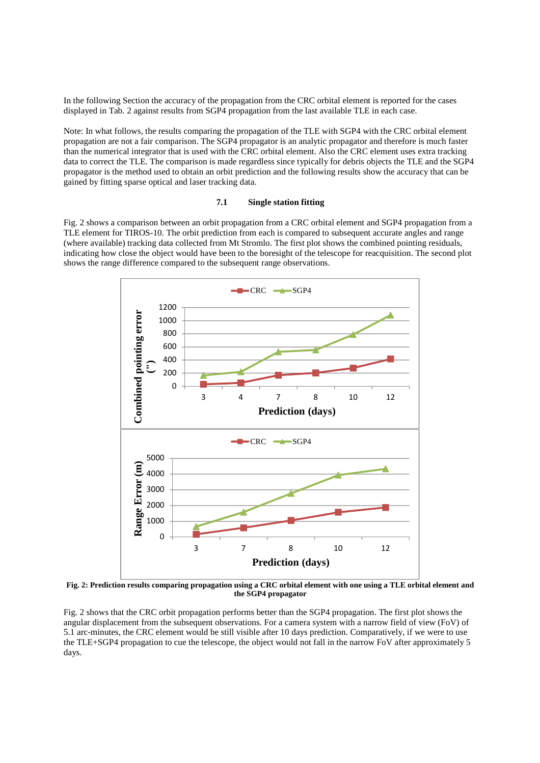In the following Section the accuracy of the propagation from the CRC orbital element is reported for the cases displayed in Tab. 2 against results from SGP4 propagation from the last available TLE in each case.

Note: In what follows, the results comparing the propagation of the TLE with SGP4 with the CRC orbital element propagation are not a fair comparison. The SGP4 propagator is an analytic propagator and therefore is much faster than the numerical integrator that is used with the CRC orbital element. Also the CRC element uses extra tracking data to correct the TLE. The comparison is made regardless since typically for debris objects the TLE and the SGP4 propagator is the method used to obtain an orbit prediction and the following results show the accuracy that can be gained by fitting sparse optical and laser tracking data.

### **7.1 Single station fitting**

Fig. 2 shows a comparison between an orbit propagation from a CRC orbital element and SGP4 propagation from a TLE element for TIROS-10. The orbit prediction from each is compared to subsequent accurate angles and range (where available) tracking data collected from Mt Stromlo. The first plot shows the combined pointing residuals, indicating how close the object would have been to the boresight of the telescope for reacquisition. The second plot shows the range difference compared to the subsequent range observations.



**Fig. 2: Prediction results comparing propagation using a CRC orbital element with one using a TLE orbital element and the SGP4 propagator** 

Fig. 2 shows that the CRC orbit propagation performs better than the SGP4 propagation. The first plot shows the angular displacement from the subsequent observations. For a camera system with a narrow field of view (FoV) of 5.1 arc-minutes, the CRC element would be still visible after 10 days prediction. Comparatively, if we were to use the TLE+SGP4 propagation to cue the telescope, the object would not fall in the narrow FoV after approximately 5 days.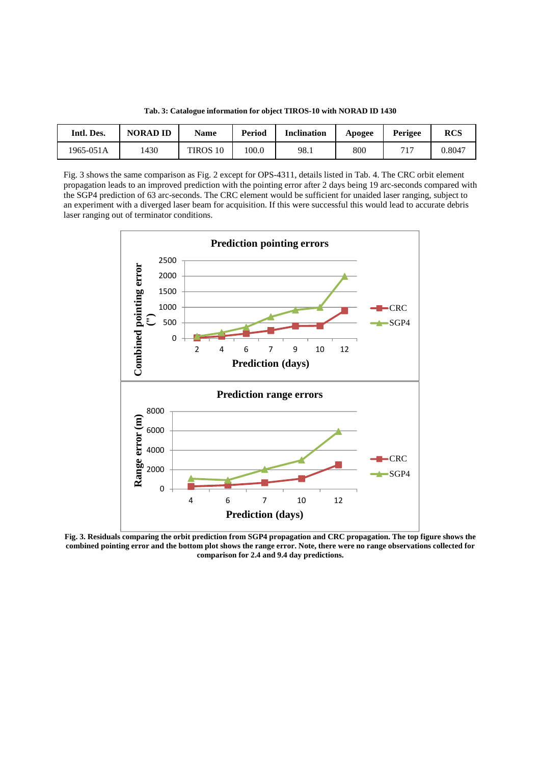|  |  |  |  |  |  | Tab. 3: Catalogue information for object TIROS-10 with NORAD ID 1430 |  |
|--|--|--|--|--|--|----------------------------------------------------------------------|--|
|--|--|--|--|--|--|----------------------------------------------------------------------|--|

| Intl. Des. | <b>NORAD ID</b> | Name     | Period | <b>Inclination</b> | Apogee | Perigee | <b>RCS</b> |
|------------|-----------------|----------|--------|--------------------|--------|---------|------------|
| 1965-051A  | 1430            | TIROS 10 | 100.0  | 98.1               | 800    | $71-$   | 0.8047     |

Fig. 3 shows the same comparison as Fig. 2 except for OPS-4311, details listed in Tab. 4. The CRC orbit element propagation leads to an improved prediction with the pointing error after 2 days being 19 arc-seconds compared with the SGP4 prediction of 63 arc-seconds. The CRC element would be sufficient for unaided laser ranging, subject to an experiment with a diverged laser beam for acquisition. If this were successful this would lead to accurate debris laser ranging out of terminator conditions.



**Fig. 3. Residuals comparing the orbit prediction from SGP4 propagation and CRC propagation. The top figure shows the combined pointing error and the bottom plot shows the range error. Note, there were no range observations collected for comparison for 2.4 and 9.4 day predictions.**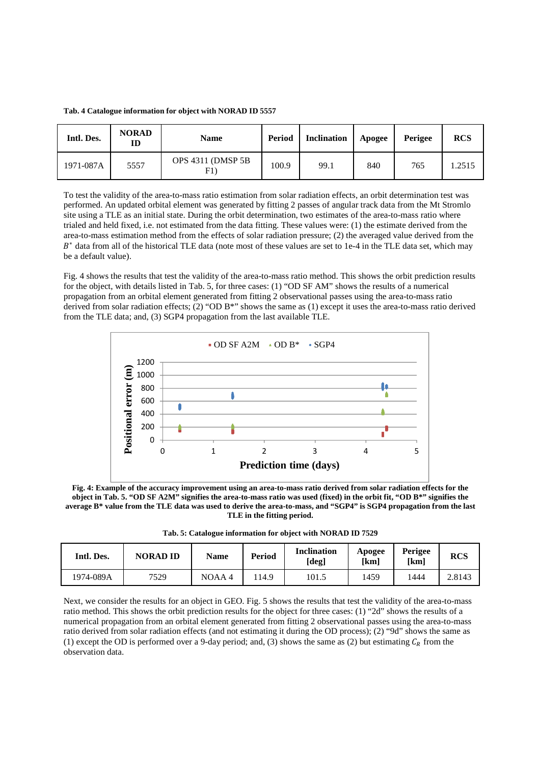**Tab. 4 Catalogue information for object with NORAD ID 5557** 

| Intl. Des. | <b>NORAD</b><br>ID | <b>Name</b>               | Period | <b>Inclination</b> | Apogee | Perigee | <b>RCS</b> |
|------------|--------------------|---------------------------|--------|--------------------|--------|---------|------------|
| 1971-087A  | 5557               | OPS 4311 (DMSP 5B)<br>F1) | 100.9  | 99.1               | 840    | 765     | 1.2515     |

To test the validity of the area-to-mass ratio estimation from solar radiation effects, an orbit determination test was performed. An updated orbital element was generated by fitting 2 passes of angular track data from the Mt Stromlo site using a TLE as an initial state. During the orbit determination, two estimates of the area-to-mass ratio where trialed and held fixed, i.e. not estimated from the data fitting. These values were: (1) the estimate derived from the area-to-mass estimation method from the effects of solar radiation pressure; (2) the averaged value derived from the B<sup>\*</sup> data from all of the historical TLE data (note most of these values are set to 1e-4 in the TLE data set, which may be a default value).

Fig. 4 shows the results that test the validity of the area-to-mass ratio method. This shows the orbit prediction results for the object, with details listed in Tab. 5, for three cases: (1) "OD SF AM" shows the results of a numerical propagation from an orbital element generated from fitting 2 observational passes using the area-to-mass ratio derived from solar radiation effects; (2) "OD B\*" shows the same as (1) except it uses the area-to-mass ratio derived from the TLE data; and, (3) SGP4 propagation from the last available TLE.



**Fig. 4: Example of the accuracy improvement using an area-to-mass ratio derived from solar radiation effects for the object in Tab. 5. "OD SF A2M" signifies the area-to-mass ratio was used (fixed) in the orbit fit, "OD B\*" signifies the average B\* value from the TLE data was used to derive the area-to-mass, and "SGP4" is SGP4 propagation from the last TLE in the fitting period.** 

**Tab. 5: Catalogue information for object with NORAD ID 7529** 

| Intl. Des. | <b>NORAD ID</b> | Name  | Period | <b>Inclination</b><br>[deg] | <b>Apogee</b><br>[km] | Perigee<br>[km] | <b>RCS</b> |
|------------|-----------------|-------|--------|-----------------------------|-----------------------|-----------------|------------|
| 1974-089A  | 7529            | NOAA4 | 114.9  | 101.5                       | 1459                  | 1444            | 2.8143     |

Next, we consider the results for an object in GEO. Fig. 5 shows the results that test the validity of the area-to-mass ratio method. This shows the orbit prediction results for the object for three cases: (1) "2d" shows the results of a numerical propagation from an orbital element generated from fitting 2 observational passes using the area-to-mass ratio derived from solar radiation effects (and not estimating it during the OD process); (2) "9d" shows the same as (1) except the OD is performed over a 9-day period; and, (3) shows the same as (2) but estimating  $C_R$  from the observation data.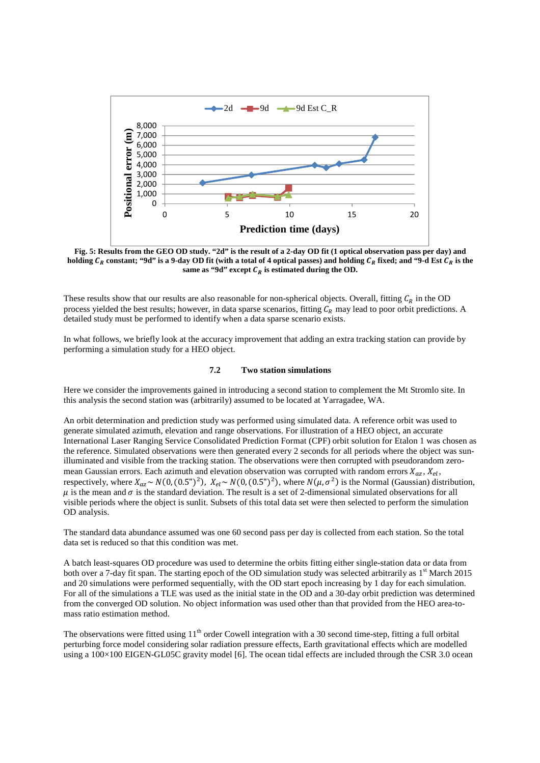

**Fig. 5: Results from the GEO OD study. "2d" is the result of a 2-day OD fit (1 optical observation pass per day) and**  holding  $C_R$  constant; "9d" is a 9-day OD fit (with a total of 4 optical passes) and holding  $C_R$  fixed; and "9-d Est  $C_R$  is the same as "9d" except  $C_R$  is estimated during the OD.

These results show that our results are also reasonable for non-spherical objects. Overall, fitting  $C_R$  in the OD process yielded the best results; however, in data sparse scenarios, fitting  $C_R$  may lead to poor orbit predictions. A detailed study must be performed to identify when a data sparse scenario exists.

In what follows, we briefly look at the accuracy improvement that adding an extra tracking station can provide by performing a simulation study for a HEO object.

#### **7.2 Two station simulations**

Here we consider the improvements gained in introducing a second station to complement the Mt Stromlo site. In this analysis the second station was (arbitrarily) assumed to be located at Yarragadee, WA.

An orbit determination and prediction study was performed using simulated data. A reference orbit was used to generate simulated azimuth, elevation and range observations. For illustration of a HEO object, an accurate International Laser Ranging Service Consolidated Prediction Format (CPF) orbit solution for Etalon 1 was chosen as the reference. Simulated observations were then generated every 2 seconds for all periods where the object was sunilluminated and visible from the tracking station. The observations were then corrupted with pseudorandom zeromean Gaussian errors. Each azimuth and elevation observation was corrupted with random errors  $X_{az}$ ,  $X_{el}$ , respectively, where  $X_{az} \sim N(0, (0.5'')^2)$ ,  $X_{el} \sim N(0, (0.5'')^2)$ , where  $N(\mu, \sigma^2)$  is the Normal (Gaussian) distribution,  $\mu$  is the mean and  $\sigma$  is the standard deviation. The result is a set of 2-dimensional simulated observations for all visible periods where the object is sunlit. Subsets of this total data set were then selected to perform the simulation OD analysis.

The standard data abundance assumed was one 60 second pass per day is collected from each station. So the total data set is reduced so that this condition was met.

A batch least-squares OD procedure was used to determine the orbits fitting either single-station data or data from both over a 7-day fit span. The starting epoch of the OD simulation study was selected arbitrarily as  $1<sup>st</sup>$  March 2015 and 20 simulations were performed sequentially, with the OD start epoch increasing by 1 day for each simulation. For all of the simulations a TLE was used as the initial state in the OD and a 30-day orbit prediction was determined from the converged OD solution. No object information was used other than that provided from the HEO area-tomass ratio estimation method.

The observations were fitted using  $11<sup>th</sup>$  order Cowell integration with a 30 second time-step, fitting a full orbital perturbing force model considering solar radiation pressure effects, Earth gravitational effects which are modelled using a  $100\times100$  EIGEN-GL05C gravity model [6]. The ocean tidal effects are included through the CSR 3.0 ocean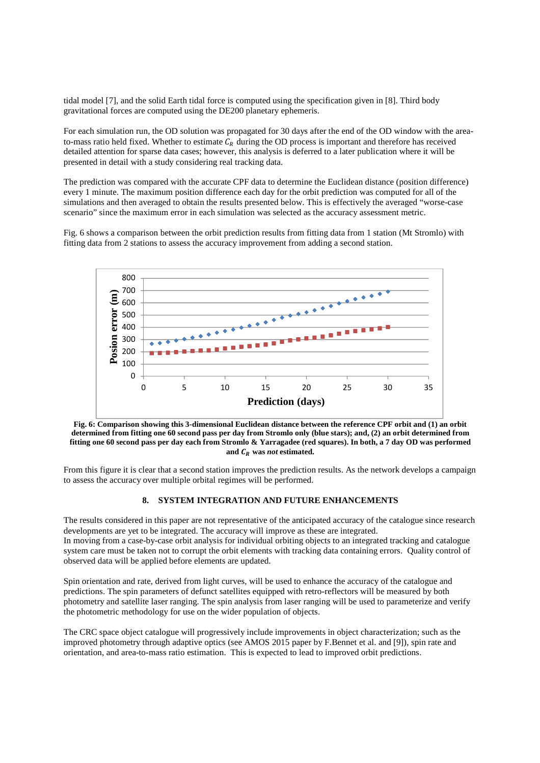tidal model [7], and the solid Earth tidal force is computed using the specification given in [8]. Third body gravitational forces are computed using the DE200 planetary ephemeris.

For each simulation run, the OD solution was propagated for 30 days after the end of the OD window with the areato-mass ratio held fixed. Whether to estimate  $C_R$  during the OD process is important and therefore has received detailed attention for sparse data cases; however, this analysis is deferred to a later publication where it will be presented in detail with a study considering real tracking data.

The prediction was compared with the accurate CPF data to determine the Euclidean distance (position difference) every 1 minute. The maximum position difference each day for the orbit prediction was computed for all of the simulations and then averaged to obtain the results presented below. This is effectively the averaged "worse-case scenario" since the maximum error in each simulation was selected as the accuracy assessment metric.

Fig. 6 shows a comparison between the orbit prediction results from fitting data from 1 station (Mt Stromlo) with fitting data from 2 stations to assess the accuracy improvement from adding a second station.



**Fig. 6: Comparison showing this 3-dimensional Euclidean distance between the reference CPF orbit and (1) an orbit determined from fitting one 60 second pass per day from Stromlo only (blue stars); and, (2) an orbit determined from fitting one 60 second pass per day each from Stromlo & Yarragadee (red squares). In both, a 7 day OD was performed**  and  $C_R$  was *not* estimated.

From this figure it is clear that a second station improves the prediction results. As the network develops a campaign to assess the accuracy over multiple orbital regimes will be performed.

## **8. SYSTEM INTEGRATION AND FUTURE ENHANCEMENTS**

The results considered in this paper are not representative of the anticipated accuracy of the catalogue since research developments are yet to be integrated. The accuracy will improve as these are integrated. In moving from a case-by-case orbit analysis for individual orbiting objects to an integrated tracking and catalogue system care must be taken not to corrupt the orbit elements with tracking data containing errors. Quality control of observed data will be applied before elements are updated.

Spin orientation and rate, derived from light curves, will be used to enhance the accuracy of the catalogue and predictions. The spin parameters of defunct satellites equipped with retro-reflectors will be measured by both photometry and satellite laser ranging. The spin analysis from laser ranging will be used to parameterize and verify the photometric methodology for use on the wider population of objects.

The CRC space object catalogue will progressively include improvements in object characterization; such as the improved photometry through adaptive optics (see AMOS 2015 paper by F.Bennet et al. and [9]), spin rate and orientation, and area-to-mass ratio estimation. This is expected to lead to improved orbit predictions.